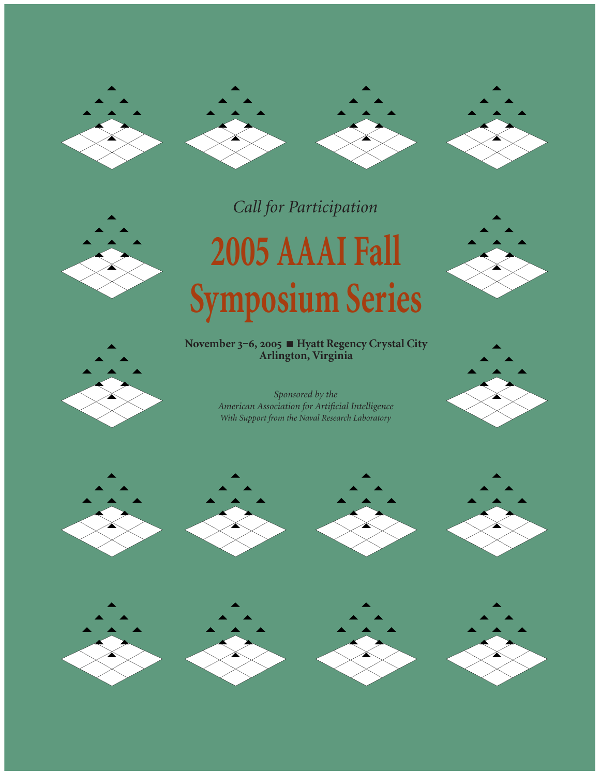







*Call for Participation*

# **2005 AAAI Fall Symposium Series**

**November ‒,** ■ **Hyatt Regency Crystal City Arlington, Virginia**

















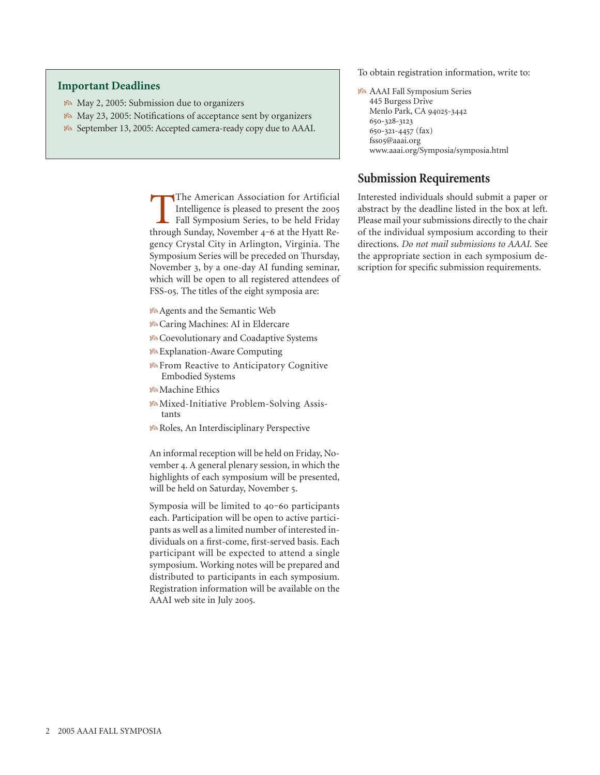#### **Important Deadlines**

- May 2, 2005: Submission due to organizers
- May 23, 2005: Notifications of acceptance sent by organizers
- September 13, 2005: Accepted camera-ready copy due to AAAI.

The American Association for Artificial<br>Intelligence is pleased to present the 2005<br>Fall Symposium Series, to be held Friday<br>through Sunday November 4-6 at the Hyatt Re-Intelligence is pleased to present the Fall Symposium Series, to be held Friday through Sunday, November 4-6 at the Hyatt Regency Crystal City in Arlington, Virginia. The Symposium Series will be preceded on Thursday, November 3, by a one-day AI funding seminar, which will be open to all registered attendees of FSS-05. The titles of the eight symposia are:

- Agents and the Semantic Web
- Caring Machines: AI in Eldercare
- Coevolutionary and Coadaptive Systems
- Explanation-Aware Computing
- *F* From Reactive to Anticipatory Cognitive Embodied Systems
- Machine Ethics
- Mixed-Initiative Problem-Solving Assistants
- **Ba Roles, An Interdisciplinary Perspective**

An informal reception will be held on Friday, November 4. A general plenary session, in which the highlights of each symposium will be presented, will be held on Saturday, November 5.

Symposia will be limited to 40-60 participants each. Participation will be open to active participants as well as a limited number of interested individuals on a first-come, first-served basis. Each participant will be expected to attend a single symposium. Working notes will be prepared and distributed to participants in each symposium. Registration information will be available on the AAAI web site in July 2005.

To obtain registration information, write to:

 AAAI Fall Symposium Series 445 Burgess Drive Menlo Park, CA 94025-3442 650-328-3123 650-321-4457 (fax) fsso5@aaai.org www.aaai.org/Symposia/symposia.html

#### **Submission Requirements**

Interested individuals should submit a paper or abstract by the deadline listed in the box at left. Please mail your submissions directly to the chair of the individual symposium according to their directions. *Do not mail submissions to AAAI.* See the appropriate section in each symposium description for specific submission requirements.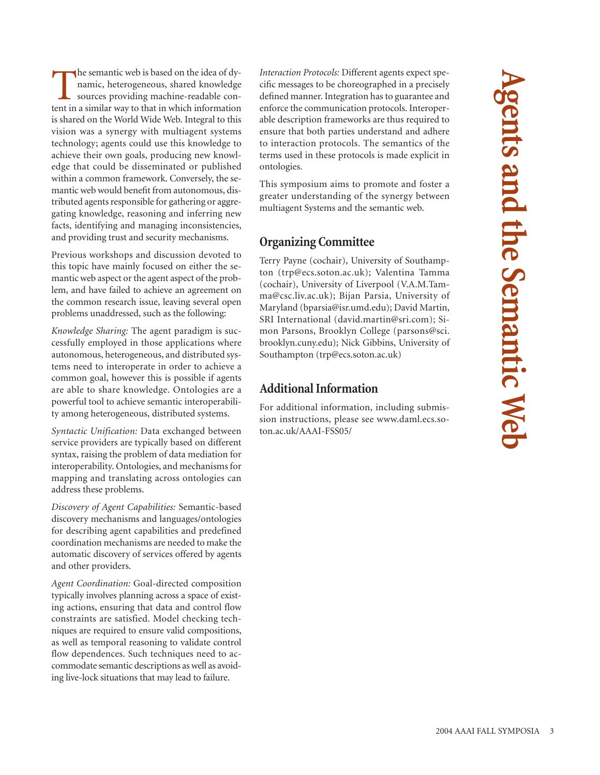The semantic web is based on the idea of dynamic, heterogeneous, shared knowledge sources providing machine-readable content in a similar way to that in which information is shared on the World Wide Web. Integral to this vision was a synergy with multiagent systems technology; agents could use this knowledge to achieve their own goals, producing new knowledge that could be disseminated or published within a common framework. Conversely, the semantic web would benefit from autonomous, distributed agents responsible for gathering or aggregating knowledge, reasoning and inferring new facts, identifying and managing inconsistencies, and providing trust and security mechanisms.

Previous workshops and discussion devoted to this topic have mainly focused on either the semantic web aspect or the agent aspect of the problem, and have failed to achieve an agreement on the common research issue, leaving several open problems unaddressed, such as the following:

*Knowledge Sharing:* The agent paradigm is successfully employed in those applications where autonomous, heterogeneous, and distributed systems need to interoperate in order to achieve a common goal, however this is possible if agents are able to share knowledge. Ontologies are a powerful tool to achieve semantic interoperability among heterogeneous, distributed systems.

*Syntactic Unification:* Data exchanged between service providers are typically based on different syntax, raising the problem of data mediation for interoperability. Ontologies, and mechanisms for mapping and translating across ontologies can address these problems.

*Discovery of Agent Capabilities:* Semantic-based discovery mechanisms and languages/ontologies for describing agent capabilities and predefined coordination mechanisms are needed to make the automatic discovery of services offered by agents and other providers.

*Agent Coordination:* Goal-directed composition typically involves planning across a space of existing actions, ensuring that data and control flow constraints are satisfied. Model checking techniques are required to ensure valid compositions, as well as temporal reasoning to validate control flow dependences. Such techniques need to accommodate semantic descriptions as well as avoiding live-lock situations that may lead to failure.

*Interaction Protocols:* Different agents expect specific messages to be choreographed in a precisely defined manner. Integration has to guarantee and enforce the communication protocols. Interoperable description frameworks are thus required to ensure that both parties understand and adhere to interaction protocols. The semantics of the terms used in these protocols is made explicit in ontologies.

This symposium aims to promote and foster a greater understanding of the synergy between multiagent Systems and the semantic web.

# **Organizing Committee**

Terry Payne (cochair), University of Southampton (trp@ecs.soton.ac.uk); Valentina Tamma (cochair), University of Liverpool (V.A.M.Tamma@csc.liv.ac.uk); Bijan Parsia, University of Maryland (bparsia@isr.umd.edu); David Martin, SRI International (david.martin@sri.com); Simon Parsons, Brooklyn College (parsons@sci. brooklyn.cuny.edu); Nick Gibbins, University of Southampton (trp@ecs.soton.ac.uk)

## **Additional Information**

For additional information, including submission instructions, please see www.daml.ecs.soton.ac.uk/AAAI-FSS05/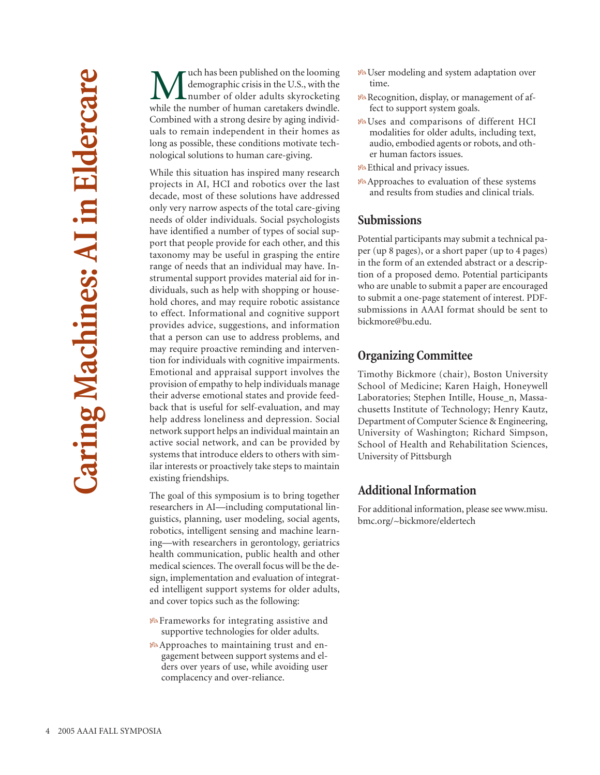**M** demographic crisis in the U.S., with the number of older adults skyrocketing<br>while the number of human caretakers dwindle demographic crisis in the U.S., with the number of older adults skyrocketing while the number of human caretakers dwindle. Combined with a strong desire by aging individuals to remain independent in their homes as long as possible, these conditions motivate technological solutions to human care-giving.

While this situation has inspired many research projects in AI, HCI and robotics over the last decade, most of these solutions have addressed only very narrow aspects of the total care-giving needs of older individuals. Social psychologists have identified a number of types of social support that people provide for each other, and this taxonomy may be useful in grasping the entire range of needs that an individual may have. Instrumental support provides material aid for individuals, such as help with shopping or household chores, and may require robotic assistance to effect. Informational and cognitive support provides advice, suggestions, and information that a person can use to address problems, and may require proactive reminding and intervention for individuals with cognitive impairments. Emotional and appraisal support involves the provision of empathy to help individuals manage their adverse emotional states and provide feedback that is useful for self-evaluation, and may help address loneliness and depression. Social network support helps an individual maintain an active social network, and can be provided by systems that introduce elders to others with similar interests or proactively take steps to maintain existing friendships.

The goal of this symposium is to bring together researchers in AI—including computational linguistics, planning, user modeling, social agents, robotics, intelligent sensing and machine learning—with researchers in gerontology, geriatrics health communication, public health and other medical sciences. The overall focus will be the design, implementation and evaluation of integrated intelligent support systems for older adults, and cover topics such as the following:

- Frameworks for integrating assistive and supportive technologies for older adults.
- **B**Approaches to maintaining trust and engagement between support systems and elders over years of use, while avoiding user complacency and over-reliance.
- User modeling and system adaptation over time.
- **R**ecognition, display, or management of affect to support system goals.
- **B**Uses and comparisons of different HCI modalities for older adults, including text, audio, embodied agents or robots, and other human factors issues.
- **B** Ethical and privacy issues.
- Approaches to evaluation of these systems and results from studies and clinical trials.

## **Submissions**

Potential participants may submit a technical paper (up 8 pages), or a short paper (up to 4 pages) in the form of an extended abstract or a description of a proposed demo. Potential participants who are unable to submit a paper are encouraged to submit a one-page statement of interest. PDFsubmissions in AAAI format should be sent to bickmore@bu.edu.

## **Organizing Committee**

Timothy Bickmore (chair), Boston University School of Medicine; Karen Haigh, Honeywell Laboratories; Stephen Intille, House\_n, Massachusetts Institute of Technology; Henry Kautz, Department of Computer Science & Engineering, University of Washington; Richard Simpson, School of Health and Rehabilitation Sciences, University of Pittsburgh

## **Additional Information**

For additional information, please see www.misu. bmc.org/~bickmore/eldertech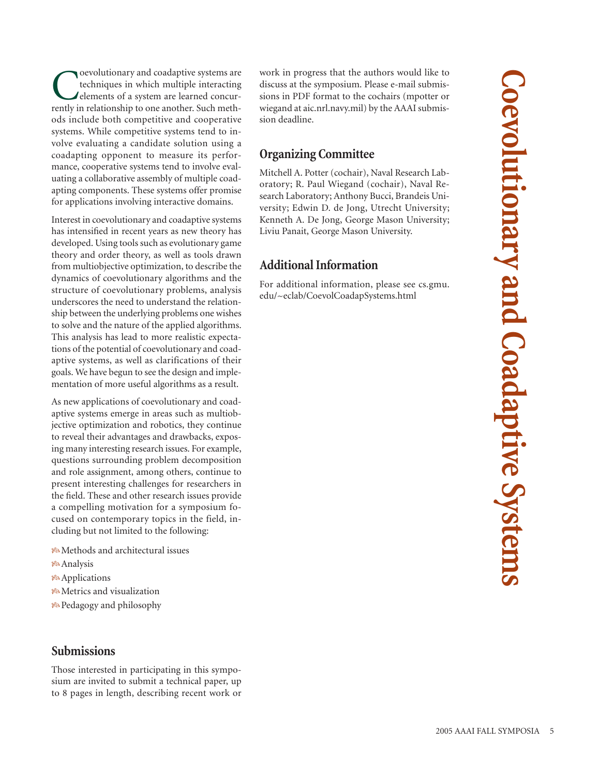**Coevolutionary and Coadaptive Systems Coevolutionary and Coadaptive System** 

**C**oevolutionary and coadaptive systems are<br>techniques in which multiple interacting<br>elements of a system are learned concur-<br>rently in relationship to one another. Such methtechniques in which multiple interacting elements of a system are learned concurrently in relationship to one another. Such methods include both competitive and cooperative systems. While competitive systems tend to involve evaluating a candidate solution using a coadapting opponent to measure its performance, cooperative systems tend to involve evaluating a collaborative assembly of multiple coadapting components. These systems offer promise for applications involving interactive domains.

Interest in coevolutionary and coadaptive systems has intensified in recent years as new theory has developed. Using tools such as evolutionary game theory and order theory, as well as tools drawn from multiobjective optimization, to describe the dynamics of coevolutionary algorithms and the structure of coevolutionary problems, analysis underscores the need to understand the relationship between the underlying problems one wishes to solve and the nature of the applied algorithms. This analysis has lead to more realistic expectations of the potential of coevolutionary and coadaptive systems, as well as clarifications of their goals. We have begun to see the design and implementation of more useful algorithms as a result.

As new applications of coevolutionary and coadaptive systems emerge in areas such as multiobjective optimization and robotics, they continue to reveal their advantages and drawbacks, exposing many interesting research issues. For example, questions surrounding problem decomposition and role assignment, among others, continue to present interesting challenges for researchers in the field. These and other research issues provide a compelling motivation for a symposium focused on contemporary topics in the field, including but not limited to the following:

- Methods and architectural issues
- Analysis
- **B**<sup>8</sup>Applications
- **B**Metrics and visualization
- **P**edagogy and philosophy

## **Submissions**

Those interested in participating in this symposium are invited to submit a technical paper, up to 8 pages in length, describing recent work or work in progress that the authors would like to discuss at the symposium. Please e-mail submissions in PDF format to the cochairs (mpotter or wiegand at aic.nrl.navy.mil) by the AAAI submission deadline.

# **Organizing Committee**

Mitchell A. Potter (cochair), Naval Research Laboratory; R. Paul Wiegand (cochair), Naval Research Laboratory; Anthony Bucci, Brandeis University; Edwin D. de Jong, Utrecht University; Kenneth A. De Jong, George Mason University; Liviu Panait, George Mason University.

## **Additional Information**

For additional information, please see cs.gmu. edu/~eclab/CoevolCoadapSystems.html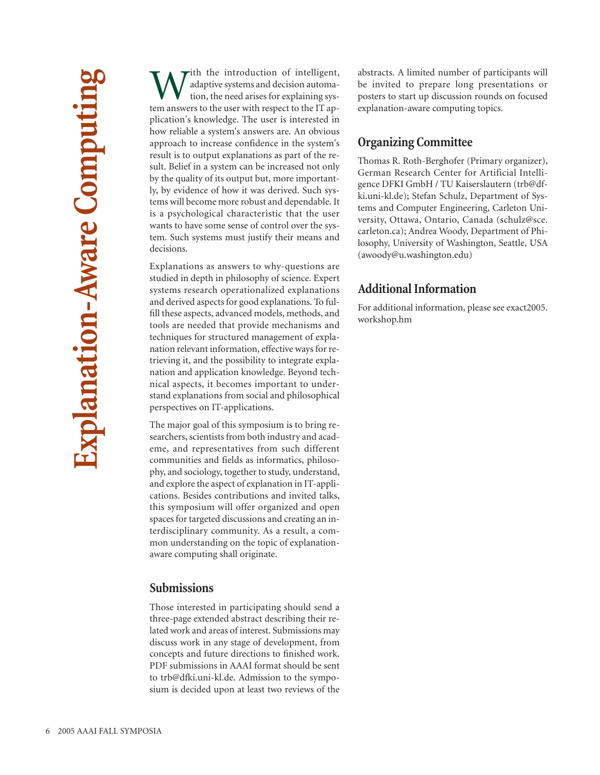With the introduction of intelligent,<br>dataptive systems and decision automa-<br>tion, the need arises for explaining system answers to the user with respect to the IT anadaptive systems and decision automation, the need arises for explaining system answers to the user with respect to the IT application's knowledge. The user is interested in how reliable a system's answers are. An obvious approach to increase confidence in the system's result is to output explanations as part of the result. Belief in a system can be increased not only by the quality of its output but, more importantly, by evidence of how it was derived. Such systems will become more robust and dependable. It is a psychological characteristic that the user wants to have some sense of control over the system. Such systems must justify their means and decisions.

Explanations as answers to why-questions are studied in depth in philosophy of science. Expert systems research operationalized explanations and derived aspects for good explanations. To fulfill these aspects, advanced models, methods, and tools are needed that provide mechanisms and techniques for structured management of explanation relevant information, effective ways for retrieving it, and the possibility to integrate explanation and application knowledge. Beyond technical aspects, it becomes important to understand explanations from social and philosophical perspectives on IT-applications.

The major goal of this symposium is to bring researchers, scientists from both industry and academe, and representatives from such different communities and fields as informatics, philosophy, and sociology, together to study, understand, and explore the aspect of explanation in IT-applications. Besides contributions and invited talks, this symposium will offer organized and open spaces for targeted discussions and creating an interdisciplinary community. As a result, a common understanding on the topic of explanationaware computing shall originate.

#### **Submissions**

Those interested in participating should send a three-page extended abstract describing their related work and areas of interest. Submissions may discuss work in any stage of development, from concepts and future directions to finished work. PDF submissions in AAAI format should be sent to trb@dfki.uni-kl.de. Admission to the symposium is decided upon at least two reviews of the abstracts. A limited number of participants will be invited to prepare long presentations or posters to start up discussion rounds on focused explanation-aware computing topics.

### **Organizing Committee**

Thomas R. Roth-Berghofer (Primary organizer), German Research Center for Artificial Intelligence DFKI GmbH / TU Kaiserslautern (trb@dfki.uni-kl.de); Stefan Schulz, Department of Systems and Computer Engineering, Carleton University, Ottawa, Ontario, Canada (schulz@sce. carleton.ca); Andrea Woody, Department of Philosophy, University of Washington, Seattle, USA (awoody@u.washington.edu)

## **Additional Information**

For additional information, please see exact2005. workshop.hm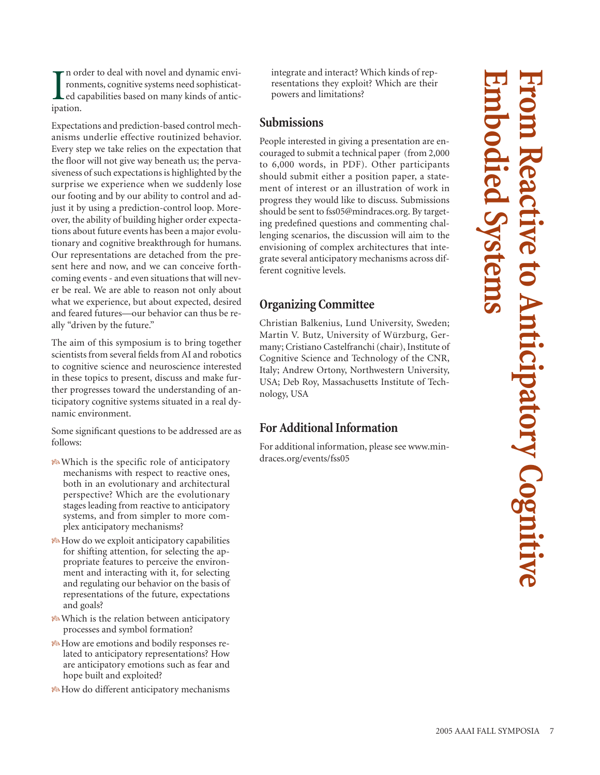I<br>ipat n order to deal with novel and dynamic environments, cognitive systems need sophisticated capabilities based on many kinds of anticipation.

Expectations and prediction-based control mechanisms underlie effective routinized behavior. Every step we take relies on the expectation that the floor will not give way beneath us; the pervasiveness of such expectations is highlighted by the surprise we experience when we suddenly lose our footing and by our ability to control and adjust it by using a prediction-control loop. Moreover, the ability of building higher order expectations about future events has been a major evolutionary and cognitive breakthrough for humans. Our representations are detached from the present here and now, and we can conceive forthcoming events - and even situations that will never be real. We are able to reason not only about what we experience, but about expected, desired and feared futures—our behavior can thus be really "driven by the future."

The aim of this symposium is to bring together scientists from several fields from AI and robotics to cognitive science and neuroscience interested in these topics to present, discuss and make further progresses toward the understanding of anticipatory cognitive systems situated in a real dynamic environment.

Some significant questions to be addressed are as follows:

- Which is the specific role of anticipatory mechanisms with respect to reactive ones, both in an evolutionary and architectural perspective? Which are the evolutionary stages leading from reactive to anticipatory systems, and from simpler to more complex anticipatory mechanisms?
- How do we exploit anticipatory capabilities for shifting attention, for selecting the appropriate features to perceive the environment and interacting with it, for selecting and regulating our behavior on the basis of representations of the future, expectations and goals?
- *F* Which is the relation between anticipatory processes and symbol formation?
- How are emotions and bodily responses related to anticipatory representations? How are anticipatory emotions such as fear and hope built and exploited?
- How do different anticipatory mechanisms

integrate and interact? Which kinds of representations they exploit? Which are their powers and limitations?

## **Submissions**

People interested in giving a presentation are encouraged to submit a technical paper (from 2,000 to 6,000 words, in PDF). Other participants should submit either a position paper, a statement of interest or an illustration of work in progress they would like to discuss. Submissions should be sent to fss05@mindraces.org. By targeting predefined questions and commenting challenging scenarios, the discussion will aim to the envisioning of complex architectures that integrate several anticipatory mechanisms across different cognitive levels.

# **Organizing Committee**

Christian Balkenius, Lund University, Sweden; Martin V. Butz, University of Würzburg, Germany; Cristiano Castelfranchi (chair), Institute of Cognitive Science and Technology of the CNR, Italy; Andrew Ortony, Northwestern University, USA; Deb Roy, Massachusetts Institute of Technology, USA

# **For AdditionalInformation**

For additional information, please see www.mindraces.org/events/fss05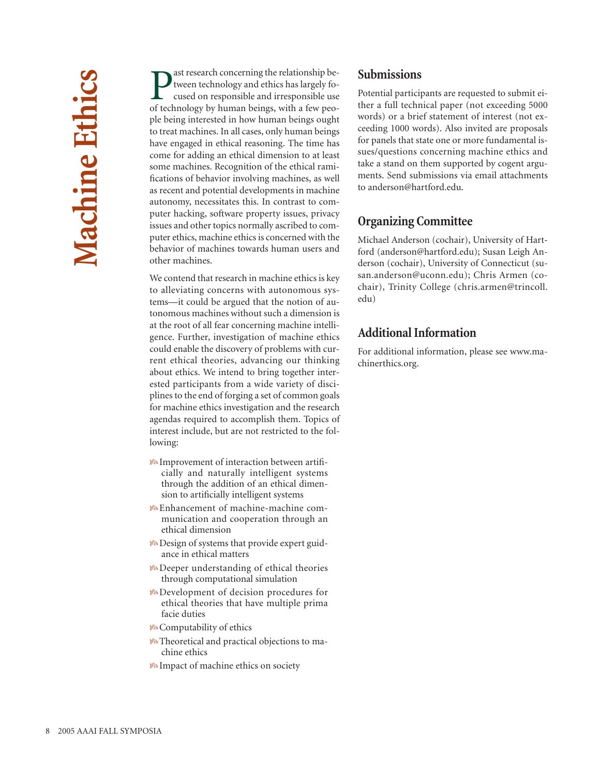**P** ast research concerning the relationship be-<br>tween technology and ethics has largely fo-<br>cused on responsible and irresponsible use<br>of technology by human beings, with a few peotween technology and ethics has largely focused on responsible and irresponsible use of technology by human beings, with a few people being interested in how human beings ought to treat machines. In all cases, only human beings have engaged in ethical reasoning. The time has come for adding an ethical dimension to at least some machines. Recognition of the ethical ramifications of behavior involving machines, as well as recent and potential developments in machine autonomy, necessitates this. In contrast to computer hacking, software property issues, privacy issues and other topics normally ascribed to computer ethics, machine ethics is concerned with the behavior of machines towards human users and other machines.

We contend that research in machine ethics is key to alleviating concerns with autonomous systems—it could be argued that the notion of autonomous machines without such a dimension is at the root of all fear concerning machine intelligence. Further, investigation of machine ethics could enable the discovery of problems with current ethical theories, advancing our thinking about ethics. We intend to bring together interested participants from a wide variety of disciplines to the end of forging a set of common goals for machine ethics investigation and the research agendas required to accomplish them. Topics of interest include, but are not restricted to the following:

- **B**Improvement of interaction between artificially and naturally intelligent systems through the addition of an ethical dimension to artificially intelligent systems
- Enhancement of machine-machine communication and cooperation through an ethical dimension
- **B** Design of systems that provide expert guidance in ethical matters
- $\mathcal{B}$  Deeper understanding of ethical theories through computational simulation
- Development of decision procedures for ethical theories that have multiple prima facie duties
- **B** Computability of ethics
- **<sup>8</sup>** Theoretical and practical objections to machine ethics
- **B** Impact of machine ethics on society

## **Submissions**

Potential participants are requested to submit either a full technical paper (not exceeding 5000 words) or a brief statement of interest (not exceeding 1000 words). Also invited are proposals for panels that state one or more fundamental issues/questions concerning machine ethics and take a stand on them supported by cogent arguments. Send submissions via email attachments to anderson@hartford.edu.

# **Organizing Committee**

Michael Anderson (cochair), University of Hartford (anderson@hartford.edu); Susan Leigh Anderson (cochair), University of Connecticut (susan.anderson@uconn.edu); Chris Armen (cochair), Trinity College (chris.armen@trincoll. edu)

# **Additional Information**

For additional information, please see www.machinerthics.org.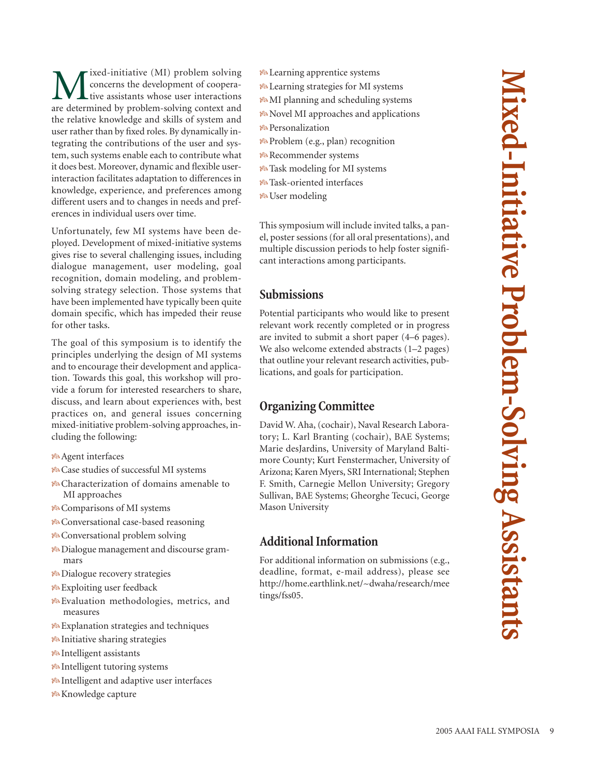ixed-initiative (MI) problem solving concerns the development of cooperative assistants whose user interactions are determined by problem-solving context and the relative knowledge and skills of system and user rather than by fixed roles. By dynamically integrating the contributions of the user and system, such systems enable each to contribute what it does best. Moreover, dynamic and flexible userinteraction facilitates adaptation to differences in knowledge, experience, and preferences among different users and to changes in needs and preferences in individual users over time. Unfortunately, few MI systems have been deployed. Development of mixed-initiative systems gives rise to several challenging issues, including

dialogue management, user modeling, goal recognition, domain modeling, and problemsolving strategy selection. Those systems that have been implemented have typically been quite domain specific, which has impeded their reuse for other tasks.

The goal of this symposium is to identify the principles underlying the design of MI systems and to encourage their development and application. Towards this goal, this workshop will provide a forum for interested researchers to share, discuss, and learn about experiences with, best practices on, and general issues concerning mixed-initiative problem-solving approaches, including the following:

- Agent interfaces
- Case studies of successful MI systems
- Characterization of domains amenable to MI approaches
- Comparisons of MI systems
- Conversational case-based reasoning
- Conversational problem solving
- Dialogue management and discourse grammars
- **Ba** Dialogue recovery strategies
- Exploiting user feedback
- Evaluation methodologies, metrics, and measures
- Explanation strategies and techniques
- $\frac{1}{8}$ Initiative sharing strategies
- Intelligent assistants
- Intelligent tutoring systems
- Intelligent and adaptive user interfaces
- Knowledge capture
- Learning apprentice systems
- Learning strategies for MI systems
- MI planning and scheduling systems
- Novel MI approaches and applications
- Personalization
- $\mathcal{P}\circ\mathsf{Problem}$  (e.g., plan) recognition
- Recommender systems
- Task modeling for MI systems
- Task-oriented interfaces
- User modeling

This symposium will include invited talks, a panel, poster sessions (for all oral presentations), and multiple discussion periods to help foster significant interactions among participants.

## **Submissions**

Potential participants who would like to present relevant work recently completed or in progress are invited to submit a short paper (4–6 pages). We also welcome extended abstracts (1–2 pages) that outline your relevant research activities, publications, and goals for participation.

# **Organizing Committee**

David W. Aha, (cochair), Naval Research Laboratory; L. Karl Branting (cochair), BAE Systems; Marie desJardins, University of Maryland Baltimore County; Kurt Fenstermacher, University of Arizona; Karen Myers, SRI International; Stephen F. Smith, Carnegie Mellon University; Gregory Sullivan, BAE Systems; Gheorghe Tecuci, George Mason University

# **Additional Information**

For additional information on submissions (e.g., deadline, format, e-mail address), please see http://home.earthlink.net/~dwaha/research/mee tings/fss05.